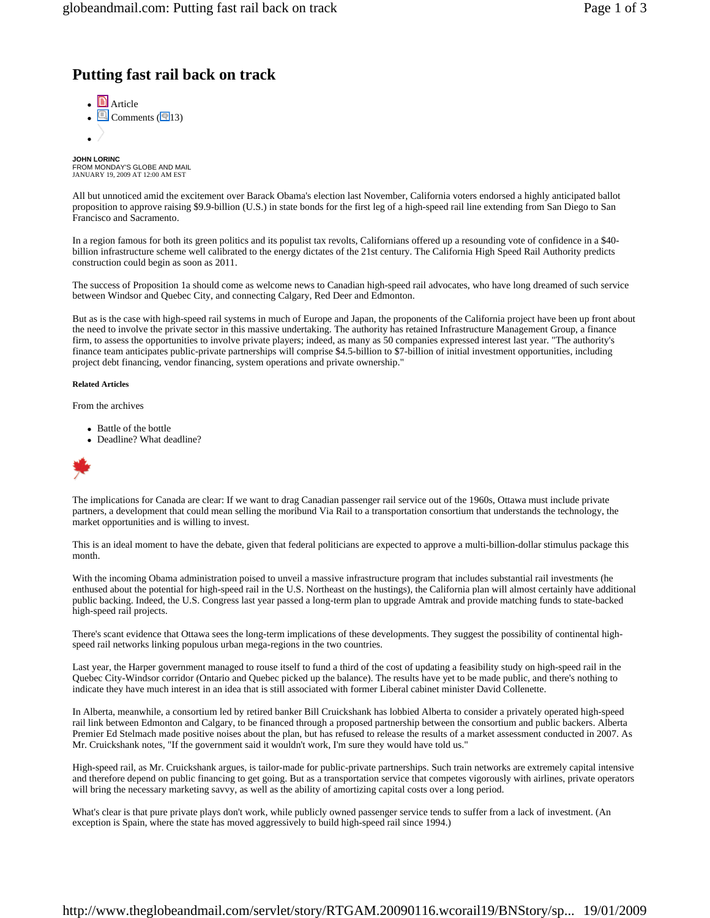# **Putting fast rail back on track**

 $\blacksquare$  Article  $\cdot$  Q Comments ( $\overline{Q}$ 13)  $\bullet$  /

**JOHN LORINC**<br>FROM MONDAY'S GLOBE AND MAIL<br>JANUARY 19, 2009 AT 12:00 AM EST

All but unnoticed amid the excitement over Barack Obama's election last November, California voters endorsed a highly anticipated ballot proposition to approve raising \$9.9-billion (U.S.) in state bonds for the first leg of a high-speed rail line extending from San Diego to San Francisco and Sacramento.

In a region famous for both its green politics and its populist tax revolts, Californians offered up a resounding vote of confidence in a \$40 billion infrastructure scheme well calibrated to the energy dictates of the 21st century. The California High Speed Rail Authority predicts construction could begin as soon as 2011.

The success of Proposition 1a should come as welcome news to Canadian high-speed rail advocates, who have long dreamed of such service between Windsor and Quebec City, and connecting Calgary, Red Deer and Edmonton.

But as is the case with high-speed rail systems in much of Europe and Japan, the proponents of the California project have been up front about the need to involve the private sector in this massive undertaking. The authority has retained Infrastructure Management Group, a finance firm, to assess the opportunities to involve private players; indeed, as many as 50 companies expressed interest last year. "The authority's finance team anticipates public-private partnerships will comprise \$4.5-billion to \$7-billion of initial investment opportunities, including project debt financing, vendor financing, system operations and private ownership."

#### **Related Articles**

From the archives

- Battle of the bottle
- Deadline? What deadline?



The implications for Canada are clear: If we want to drag Canadian passenger rail service out of the 1960s, Ottawa must include private partners, a development that could mean selling the moribund Via Rail to a transportation consortium that understands the technology, the market opportunities and is willing to invest.

This is an ideal moment to have the debate, given that federal politicians are expected to approve a multi-billion-dollar stimulus package this month.

With the incoming Obama administration poised to unveil a massive infrastructure program that includes substantial rail investments (he enthused about the potential for high-speed rail in the U.S. Northeast on the hustings), the California plan will almost certainly have additional public backing. Indeed, the U.S. Congress last year passed a long-term plan to upgrade Amtrak and provide matching funds to state-backed high-speed rail projects.

There's scant evidence that Ottawa sees the long-term implications of these developments. They suggest the possibility of continental highspeed rail networks linking populous urban mega-regions in the two countries.

Last year, the Harper government managed to rouse itself to fund a third of the cost of updating a feasibility study on high-speed rail in the Quebec City-Windsor corridor (Ontario and Quebec picked up the balance). The results have yet to be made public, and there's nothing to indicate they have much interest in an idea that is still associated with former Liberal cabinet minister David Collenette.

In Alberta, meanwhile, a consortium led by retired banker Bill Cruickshank has lobbied Alberta to consider a privately operated high-speed rail link between Edmonton and Calgary, to be financed through a proposed partnership between the consortium and public backers. Alberta Premier Ed Stelmach made positive noises about the plan, but has refused to release the results of a market assessment conducted in 2007. As Mr. Cruickshank notes, "If the government said it wouldn't work, I'm sure they would have told us."

High-speed rail, as Mr. Cruickshank argues, is tailor-made for public-private partnerships. Such train networks are extremely capital intensive and therefore depend on public financing to get going. But as a transportation service that competes vigorously with airlines, private operators will bring the necessary marketing savvy, as well as the ability of amortizing capital costs over a long period.

What's clear is that pure private plays don't work, while publicly owned passenger service tends to suffer from a lack of investment. (An exception is Spain, where the state has moved aggressively to build high-speed rail since 1994.)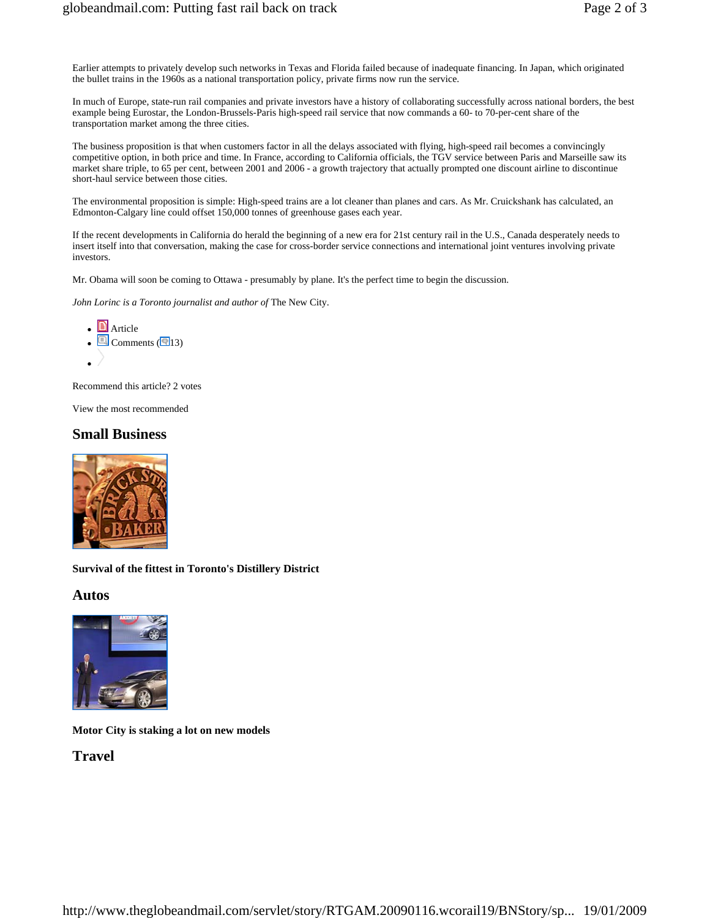Earlier attempts to privately develop such networks in Texas and Florida failed because of inadequate financing. In Japan, which originated the bullet trains in the 1960s as a national transportation policy, private firms now run the service.

In much of Europe, state-run rail companies and private investors have a history of collaborating successfully across national borders, the best example being Eurostar, the London-Brussels-Paris high-speed rail service that now commands a 60- to 70-per-cent share of the transportation market among the three cities.

The business proposition is that when customers factor in all the delays associated with flying, high-speed rail becomes a convincingly competitive option, in both price and time. In France, according to California officials, the TGV service between Paris and Marseille saw its market share triple, to 65 per cent, between 2001 and 2006 - a growth trajectory that actually prompted one discount airline to discontinue short-haul service between those cities.

The environmental proposition is simple: High-speed trains are a lot cleaner than planes and cars. As Mr. Cruickshank has calculated, an Edmonton-Calgary line could offset 150,000 tonnes of greenhouse gases each year.

If the recent developments in California do herald the beginning of a new era for 21st century rail in the U.S., Canada desperately needs to insert itself into that conversation, making the case for cross-border service connections and international joint ventures involving private investors.

Mr. Obama will soon be coming to Ottawa - presumably by plane. It's the perfect time to begin the discussion.

*John Lorinc is a Toronto journalist and author of* The New City.

\n- $$
\blacksquare
$$
 Article
\n- $\blacksquare$  Comments  $\blacksquare$  13
\n- $\blacktriangleright$
\n

Recommend this article? 2 votes

View the most recommended

#### **Small Business**



**Survival of the fittest in Toronto's Distillery District** 

**Autos** 



**Motor City is staking a lot on new models** 

**Travel**